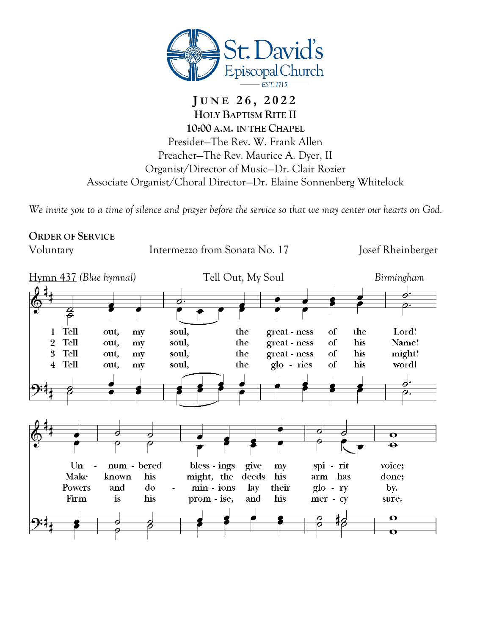

# **J UNE 2 6 , 2 0 2 2 HOLY BAPTISM RITE II 10:00 A.M. IN THE CHAPEL** Presider—The Rev. W. Frank Allen Preacher—The Rev. Maurice A. Dyer, II Organist/Director of Music—Dr. Clair Rozier Associate Organist/Choral Director—Dr. Elaine Sonnenberg Whitelock

*We invite you to a time of silence and prayer before the service so that we may center our hearts on God.*

#### **ORDER OF SERVICE**

Voluntary Intermezzo from Sonata No. 17 Josef Rheinberger

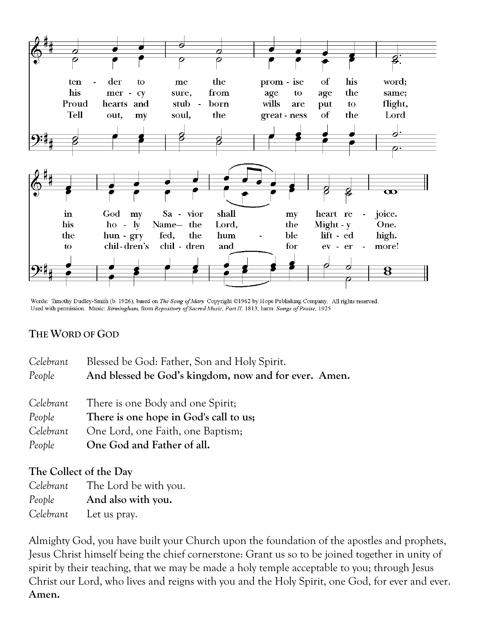

Words: Timothy Dudley-Smith (b. 1926); based on The Song of Mary Copyright ©1962 by Hope Publishing Company. All rights reserved. Used with permission. Music: Birmingham, from Repository of Sacred Music, Part II, 1813; har

#### **THE WORD OF GOD**

| Celebrant<br>People | Blessed be God: Father, Son and Holy Spirit.<br>And blessed be God's kingdom, now and for ever. Amen. |
|---------------------|-------------------------------------------------------------------------------------------------------|
| Celebrant           | There is one Body and one Spirit;                                                                     |
| People              | There is one hope in God's call to us;                                                                |
| Celebrant           | One Lord, one Faith, one Baptism;                                                                     |
| People              | One God and Father of all.                                                                            |

#### **The Collect of the Day**

*Celebrant* The Lord be with you. *People* **And also with you.** *Celebrant* Let us pray.

Almighty God, you have built your Church upon the foundation of the apostles and prophets, Jesus Christ himself being the chief cornerstone: Grant us so to be joined together in unity of spirit by their teaching, that we may be made a holy temple acceptable to you; through Jesus Christ our Lord, who lives and reigns with you and the Holy Spirit, one God, for ever and ever. **Amen.**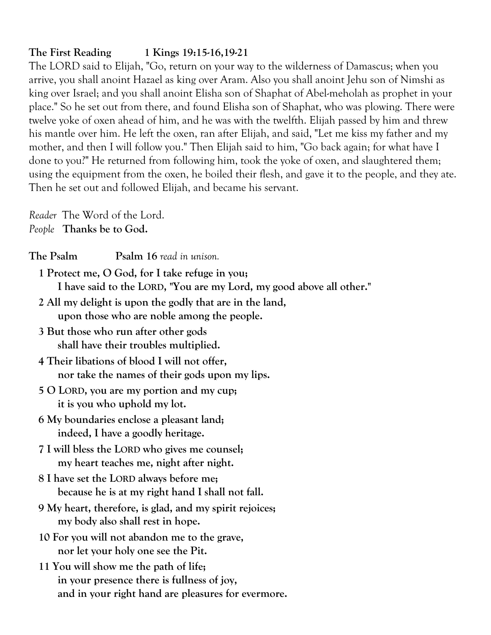# **The First Reading 1 Kings 19:15-16,19-21**

The LORD said to Elijah, "Go, return on your way to the wilderness of Damascus; when you arrive, you shall anoint Hazael as king over Aram. Also you shall anoint Jehu son of Nimshi as king over Israel; and you shall anoint Elisha son of Shaphat of Abel-meholah as prophet in your place." So he set out from there, and found Elisha son of Shaphat, who was plowing. There were twelve yoke of oxen ahead of him, and he was with the twelfth. Elijah passed by him and threw his mantle over him. He left the oxen, ran after Elijah, and said, "Let me kiss my father and my mother, and then I will follow you." Then Elijah said to him, "Go back again; for what have I done to you?" He returned from following him, took the yoke of oxen, and slaughtered them; using the equipment from the oxen, he boiled their flesh, and gave it to the people, and they ate. Then he set out and followed Elijah, and became his servant.

*Reader* The Word of the Lord. *People* **Thanks be to God.**

**The Psalm Psalm 16** *read in unison.*

**1 Protect me, O God, for I take refuge in you; I have said to the LORD, "You are my Lord, my good above all other."**

- **2 All my delight is upon the godly that are in the land, upon those who are noble among the people.**
- **3 But those who run after other gods shall have their troubles multiplied.**
- **4 Their libations of blood I will not offer, nor take the names of their gods upon my lips.**
- **5 O LORD, you are my portion and my cup; it is you who uphold my lot.**
- **6 My boundaries enclose a pleasant land; indeed, I have a goodly heritage.**
- **7 I will bless the LORD who gives me counsel; my heart teaches me, night after night.**
- **8 I have set the LORD always before me; because he is at my right hand I shall not fall.**
- **9 My heart, therefore, is glad, and my spirit rejoices; my body also shall rest in hope.**
- **10 For you will not abandon me to the grave, nor let your holy one see the Pit.**
- **11 You will show me the path of life; in your presence there is fullness of joy, and in your right hand are pleasures for evermore.**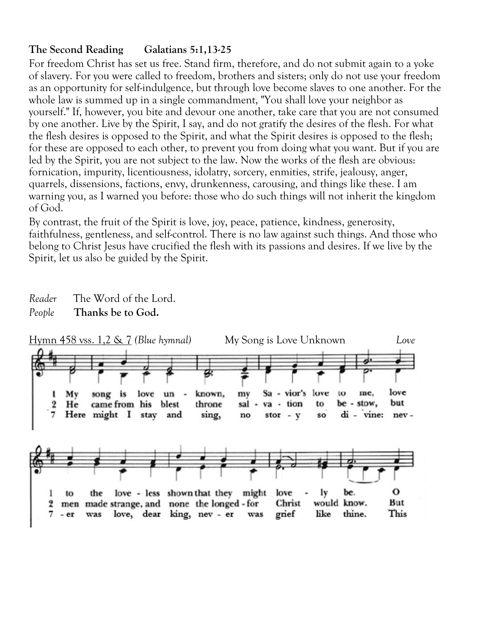# **The Second Reading Galatians 5:1,13-25**

For freedom Christ has set us free. Stand firm, therefore, and do not submit again to a yoke of slavery. For you were called to freedom, brothers and sisters; only do not use your freedom as an opportunity for self-indulgence, but through love become slaves to one another. For the whole law is summed up in a single commandment, "You shall love your neighbor as yourself." If, however, you bite and devour one another, take care that you are not consumed by one another. Live by the Spirit, I say, and do not gratify the desires of the flesh. For what the flesh desires is opposed to the Spirit, and what the Spirit desires is opposed to the flesh; for these are opposed to each other, to prevent you from doing what you want. But if you are led by the Spirit, you are not subject to the law. Now the works of the flesh are obvious: fornication, impurity, licentiousness, idolatry, sorcery, enmities, strife, jealousy, anger, quarrels, dissensions, factions, envy, drunkenness, carousing, and things like these. I am warning you, as I warned you before: those who do such things will not inherit the kingdom of God.

By contrast, the fruit of the Spirit is love, joy, peace, patience, kindness, generosity, faithfulness, gentleness, and self-control. There is no law against such things. And those who belong to Christ Jesus have crucified the flesh with its passions and desires. If we live by the Spirit, let us also be guided by the Spirit.

*Reader* The Word of the Lord.

*People* **Thanks be to God.**

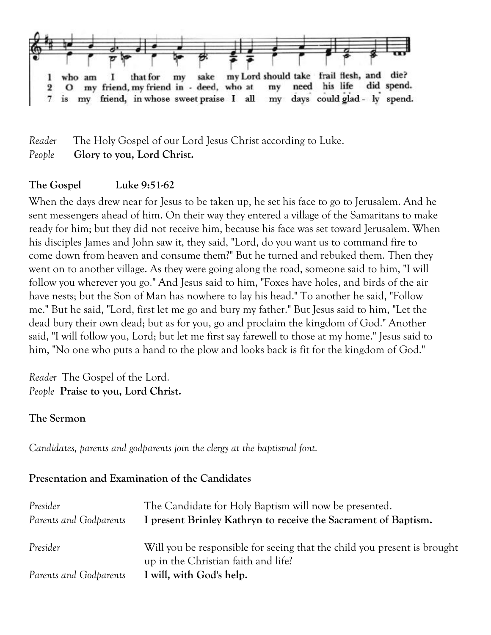

*Reader* The Holy Gospel of our Lord Jesus Christ according to Luke. *People* **Glory to you, Lord Christ.**

### **The Gospel Luke 9:51-62**

When the days drew near for Jesus to be taken up, he set his face to go to Jerusalem. And he sent messengers ahead of him. On their way they entered a village of the Samaritans to make ready for him; but they did not receive him, because his face was set toward Jerusalem. When his disciples James and John saw it, they said, "Lord, do you want us to command fire to come down from heaven and consume them?" But he turned and rebuked them. Then they went on to another village. As they were going along the road, someone said to him, "I will follow you wherever you go." And Jesus said to him, "Foxes have holes, and birds of the air have nests; but the Son of Man has nowhere to lay his head." To another he said, "Follow me." But he said, "Lord, first let me go and bury my father." But Jesus said to him, "Let the dead bury their own dead; but as for you, go and proclaim the kingdom of God." Another said, "I will follow you, Lord; but let me first say farewell to those at my home." Jesus said to him, "No one who puts a hand to the plow and looks back is fit for the kingdom of God."

## *Reader* The Gospel of the Lord. *People* **Praise to you, Lord Christ.**

#### **The Sermon**

*Candidates, parents and godparents join the clergy at the baptismal font.*

#### **Presentation and Examination of the Candidates**

| Presider<br>Parents and Godparents | The Candidate for Holy Baptism will now be presented.<br>I present Brinley Kathryn to receive the Sacrament of Baptism. |
|------------------------------------|-------------------------------------------------------------------------------------------------------------------------|
| Presider                           | Will you be responsible for seeing that the child you present is brought<br>up in the Christian faith and life?         |
| Parents and Godparents             | I will, with God's help.                                                                                                |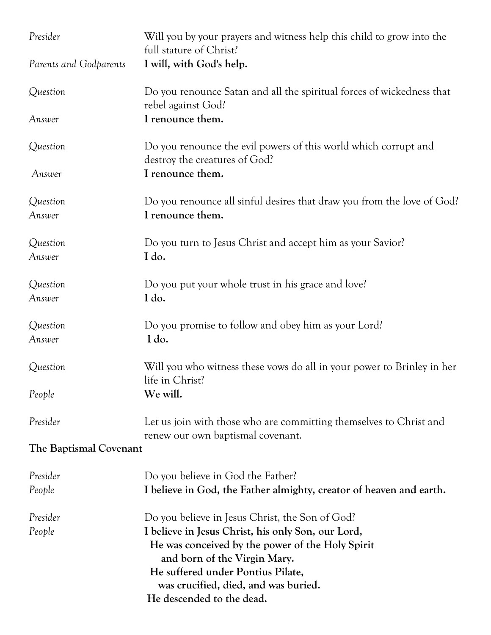| Presider               | Will you by your prayers and witness help this child to grow into the<br>full stature of Christ?                                                                                                                                                 |
|------------------------|--------------------------------------------------------------------------------------------------------------------------------------------------------------------------------------------------------------------------------------------------|
| Parents and Godparents | I will, with God's help.                                                                                                                                                                                                                         |
| Question               | Do you renounce Satan and all the spiritual forces of wickedness that<br>rebel against God?                                                                                                                                                      |
| Answer                 | I renounce them.                                                                                                                                                                                                                                 |
| Question               | Do you renounce the evil powers of this world which corrupt and<br>destroy the creatures of God?                                                                                                                                                 |
| Answer                 | I renounce them.                                                                                                                                                                                                                                 |
| Question<br>Answer     | Do you renounce all sinful desires that draw you from the love of God?<br>I renounce them.                                                                                                                                                       |
| Question<br>Answer     | Do you turn to Jesus Christ and accept him as your Savior?<br>I do.                                                                                                                                                                              |
| Question<br>Answer     | Do you put your whole trust in his grace and love?<br>I do.                                                                                                                                                                                      |
| Question<br>Answer     | Do you promise to follow and obey him as your Lord?<br>I do.                                                                                                                                                                                     |
| Question               | Will you who witness these vows do all in your power to Brinley in her<br>life in Christ?                                                                                                                                                        |
| People                 | We will.                                                                                                                                                                                                                                         |
| Presider               | Let us join with those who are committing themselves to Christ and<br>renew our own baptismal covenant.                                                                                                                                          |
| The Baptismal Covenant |                                                                                                                                                                                                                                                  |
| Presider               | Do you believe in God the Father?                                                                                                                                                                                                                |
| People                 | I believe in God, the Father almighty, creator of heaven and earth.                                                                                                                                                                              |
| Presider               | Do you believe in Jesus Christ, the Son of God?                                                                                                                                                                                                  |
| People                 | I believe in Jesus Christ, his only Son, our Lord,<br>He was conceived by the power of the Holy Spirit<br>and born of the Virgin Mary.<br>He suffered under Pontius Pilate,<br>was crucified, died, and was buried.<br>He descended to the dead. |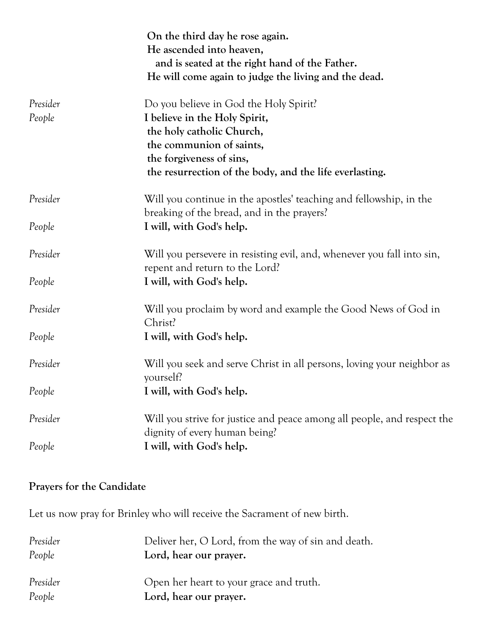|                    | On the third day he rose again.<br>He ascended into heaven,<br>and is seated at the right hand of the Father.<br>He will come again to judge the living and the dead.                                                   |
|--------------------|-------------------------------------------------------------------------------------------------------------------------------------------------------------------------------------------------------------------------|
| Presider<br>People | Do you believe in God the Holy Spirit?<br>I believe in the Holy Spirit,<br>the holy catholic Church,<br>the communion of saints,<br>the forgiveness of sins,<br>the resurrection of the body, and the life everlasting. |
| Presider           | Will you continue in the apostles' teaching and fellowship, in the<br>breaking of the bread, and in the prayers?                                                                                                        |
| People             | I will, with God's help.                                                                                                                                                                                                |
| Presider           | Will you persevere in resisting evil, and, whenever you fall into sin,<br>repent and return to the Lord?                                                                                                                |
| People             | I will, with God's help.                                                                                                                                                                                                |
| Presider           | Will you proclaim by word and example the Good News of God in<br>Christ?                                                                                                                                                |
| People             | I will, with God's help.                                                                                                                                                                                                |
| Presider           | Will you seek and serve Christ in all persons, loving your neighbor as<br>yourself?                                                                                                                                     |
| People             | I will, with God's help.                                                                                                                                                                                                |
| Presider           | Will you strive for justice and peace among all people, and respect the<br>dignity of every human being?                                                                                                                |
| People             | I will, with God's help.                                                                                                                                                                                                |

# **Prayers for the Candidate**

Let us now pray for Brinley who will receive the Sacrament of new birth.

| Presider | Deliver her, O Lord, from the way of sin and death. |
|----------|-----------------------------------------------------|
| People   | Lord, hear our prayer.                              |
| Presider | Open her heart to your grace and truth.             |
| People   | Lord, hear our prayer.                              |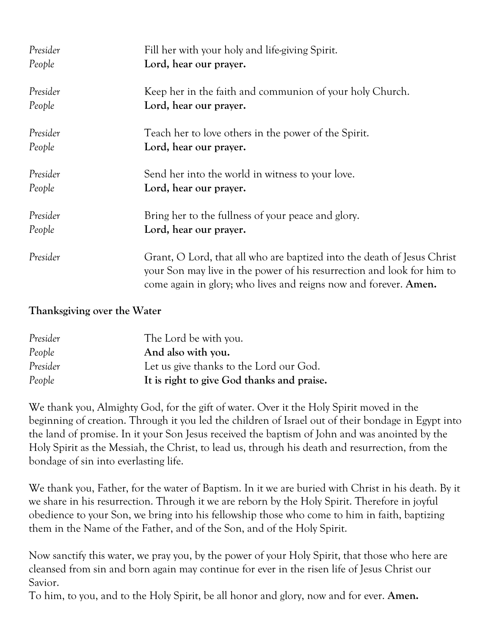| Presider | Fill her with your holy and life-giving Spirit.                                                                                                                                                                       |
|----------|-----------------------------------------------------------------------------------------------------------------------------------------------------------------------------------------------------------------------|
| People   | Lord, hear our prayer.                                                                                                                                                                                                |
| Presider | Keep her in the faith and communion of your holy Church.                                                                                                                                                              |
| People   | Lord, hear our prayer.                                                                                                                                                                                                |
| Presider | Teach her to love others in the power of the Spirit.                                                                                                                                                                  |
| People   | Lord, hear our prayer.                                                                                                                                                                                                |
| Presider | Send her into the world in witness to your love.                                                                                                                                                                      |
| People   | Lord, hear our prayer.                                                                                                                                                                                                |
| Presider | Bring her to the fullness of your peace and glory.                                                                                                                                                                    |
| People   | Lord, hear our prayer.                                                                                                                                                                                                |
| Presider | Grant, O Lord, that all who are baptized into the death of Jesus Christ<br>your Son may live in the power of his resurrection and look for him to<br>come again in glory; who lives and reigns now and forever. Amen. |

### **Thanksgiving over the Water**

| Presider | The Lord be with you.                      |
|----------|--------------------------------------------|
| People   | And also with you.                         |
| Presider | Let us give thanks to the Lord our God.    |
| People   | It is right to give God thanks and praise. |

We thank you, Almighty God, for the gift of water. Over it the Holy Spirit moved in the beginning of creation. Through it you led the children of Israel out of their bondage in Egypt into the land of promise. In it your Son Jesus received the baptism of John and was anointed by the Holy Spirit as the Messiah, the Christ, to lead us, through his death and resurrection, from the bondage of sin into everlasting life.

We thank you, Father, for the water of Baptism. In it we are buried with Christ in his death. By it we share in his resurrection. Through it we are reborn by the Holy Spirit. Therefore in joyful obedience to your Son, we bring into his fellowship those who come to him in faith, baptizing them in the Name of the Father, and of the Son, and of the Holy Spirit.

Now sanctify this water, we pray you, by the power of your Holy Spirit, that those who here are cleansed from sin and born again may continue for ever in the risen life of Jesus Christ our Savior.

To him, to you, and to the Holy Spirit, be all honor and glory, now and for ever. **Amen.**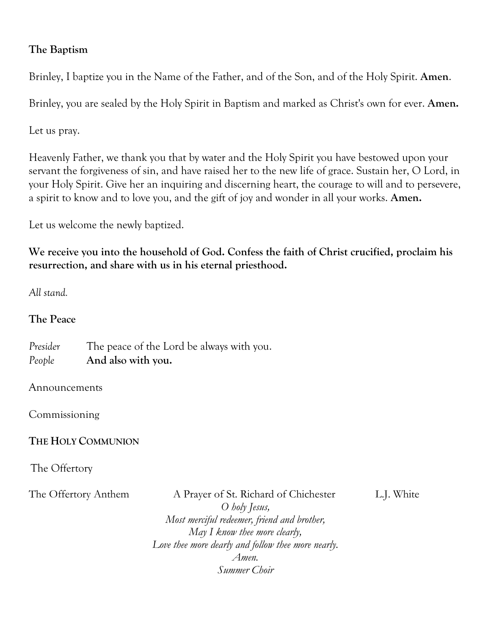### **The Baptism**

Brinley, I baptize you in the Name of the Father, and of the Son, and of the Holy Spirit. **Amen**.

Brinley, you are sealed by the Holy Spirit in Baptism and marked as Christ's own for ever. **Amen.**

Let us pray.

Heavenly Father, we thank you that by water and the Holy Spirit you have bestowed upon your servant the forgiveness of sin, and have raised her to the new life of grace. Sustain her, O Lord, in your Holy Spirit. Give her an inquiring and discerning heart, the courage to will and to persevere, a spirit to know and to love you, and the gift of joy and wonder in all your works. **Amen.**

Let us welcome the newly baptized.

**We receive you into the household of God. Confess the faith of Christ crucified, proclaim his resurrection, and share with us in his eternal priesthood.**

*All stand.*

### **The Peace**

*Presider* The peace of the Lord be always with you. *People* **And also with you.**

Announcements

Commissioning

#### **THE HOLY COMMUNION**

The Offertory

The Offertory Anthem A Prayer of St. Richard of Chichester L.J. White *O holy Jesus, Most merciful redeemer, friend and brother, May I know thee more clearly, Love thee more dearly and follow thee more nearly. Amen. Summer Choir*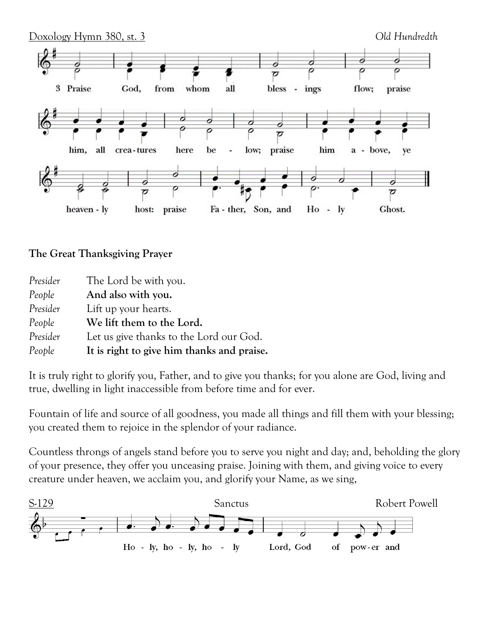

## **The Great Thanksgiving Prayer**

*Presider* The Lord be with you. *People* **And also with you.** *Presider* Lift up your hearts. *People* **We lift them to the Lord.** *Presider* Let us give thanks to the Lord our God. *People* **It is right to give him thanks and praise.**

It is truly right to glorify you, Father, and to give you thanks; for you alone are God, living and true, dwelling in light inaccessible from before time and for ever.

Fountain of life and source of all goodness, you made all things and fill them with your blessing; you created them to rejoice in the splendor of your radiance.

Countless throngs of angels stand before you to serve you night and day; and, beholding the glory of your presence, they offer you unceasing praise. Joining with them, and giving voice to every creature under heaven, we acclaim you, and glorify your Name, as we sing,

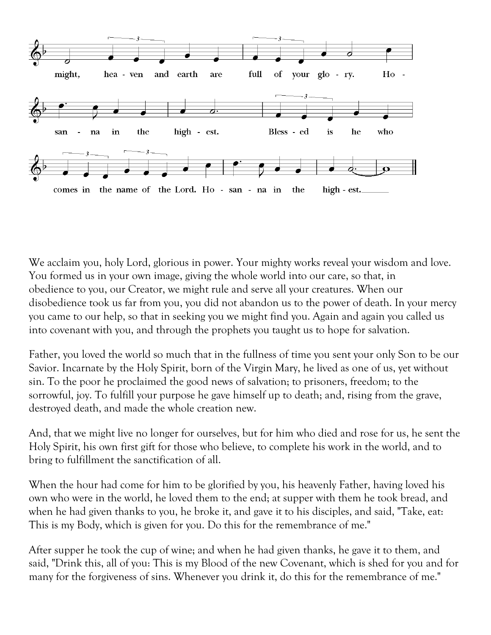

We acclaim you, holy Lord, glorious in power. Your mighty works reveal your wisdom and love. You formed us in your own image, giving the whole world into our care, so that, in obedience to you, our Creator, we might rule and serve all your creatures. When our disobedience took us far from you, you did not abandon us to the power of death. In your mercy you came to our help, so that in seeking you we might find you. Again and again you called us into covenant with you, and through the prophets you taught us to hope for salvation.

Father, you loved the world so much that in the fullness of time you sent your only Son to be our Savior. Incarnate by the Holy Spirit, born of the Virgin Mary, he lived as one of us, yet without sin. To the poor he proclaimed the good news of salvation; to prisoners, freedom; to the sorrowful, joy. To fulfill your purpose he gave himself up to death; and, rising from the grave, destroyed death, and made the whole creation new.

And, that we might live no longer for ourselves, but for him who died and rose for us, he sent the Holy Spirit, his own first gift for those who believe, to complete his work in the world, and to bring to fulfillment the sanctification of all.

When the hour had come for him to be glorified by you, his heavenly Father, having loved his own who were in the world, he loved them to the end; at supper with them he took bread, and when he had given thanks to you, he broke it, and gave it to his disciples, and said, "Take, eat: This is my Body, which is given for you. Do this for the remembrance of me."

After supper he took the cup of wine; and when he had given thanks, he gave it to them, and said, "Drink this, all of you: This is my Blood of the new Covenant, which is shed for you and for many for the forgiveness of sins. Whenever you drink it, do this for the remembrance of me."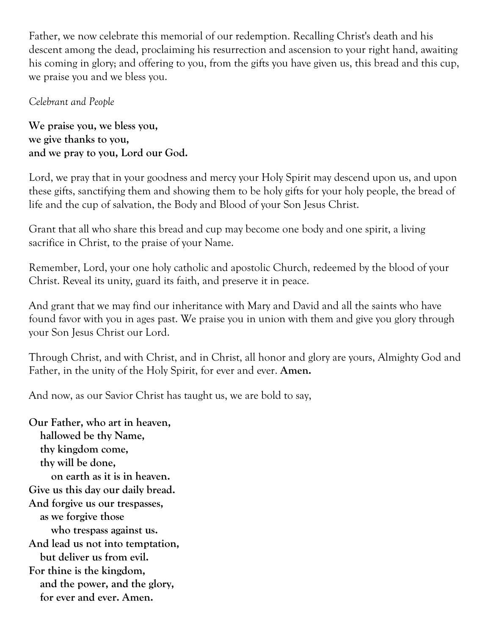Father, we now celebrate this memorial of our redemption. Recalling Christ's death and his descent among the dead, proclaiming his resurrection and ascension to your right hand, awaiting his coming in glory; and offering to you, from the gifts you have given us, this bread and this cup, we praise you and we bless you.

### *Celebrant and People*

**We praise you, we bless you, we give thanks to you, and we pray to you, Lord our God.**

Lord, we pray that in your goodness and mercy your Holy Spirit may descend upon us, and upon these gifts, sanctifying them and showing them to be holy gifts for your holy people, the bread of life and the cup of salvation, the Body and Blood of your Son Jesus Christ.

Grant that all who share this bread and cup may become one body and one spirit, a living sacrifice in Christ, to the praise of your Name.

Remember, Lord, your one holy catholic and apostolic Church, redeemed by the blood of your Christ. Reveal its unity, guard its faith, and preserve it in peace.

And grant that we may find our inheritance with Mary and David and all the saints who have found favor with you in ages past. We praise you in union with them and give you glory through your Son Jesus Christ our Lord.

Through Christ, and with Christ, and in Christ, all honor and glory are yours, Almighty God and Father, in the unity of the Holy Spirit, for ever and ever. **Amen.**

And now, as our Savior Christ has taught us, we are bold to say,

**Our Father, who art in heaven, hallowed be thy Name, thy kingdom come, thy will be done, on earth as it is in heaven. Give us this day our daily bread. And forgive us our trespasses, as we forgive those who trespass against us. And lead us not into temptation, but deliver us from evil. For thine is the kingdom, and the power, and the glory, for ever and ever. Amen.**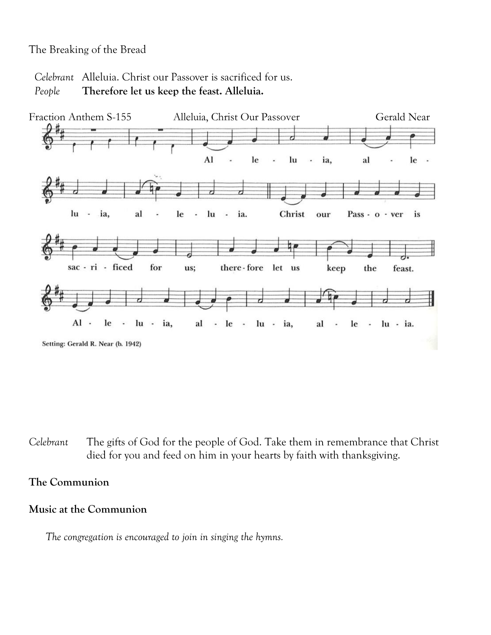#### The Breaking of the Bread

# *Celebrant* Alleluia. Christ our Passover is sacrificed for us.  *People* **Therefore let us keep the feast. Alleluia.**



*Celebrant* The gifts of God for the people of God. Take them in remembrance that Christ died for you and feed on him in your hearts by faith with thanksgiving.

#### **The Communion**

#### **Music at the Communion**

 *The congregation is encouraged to join in singing the hymns.*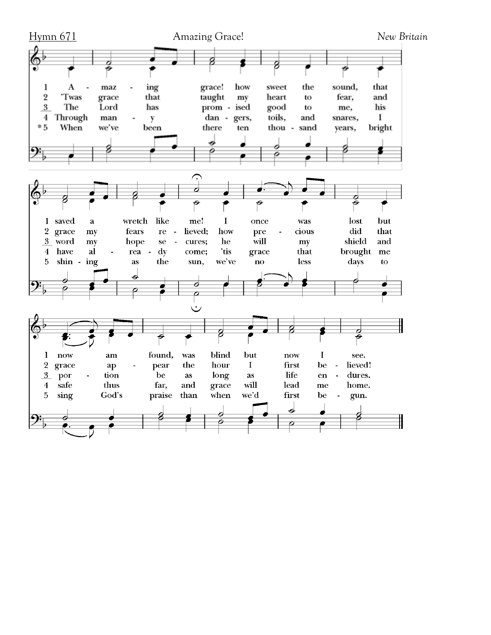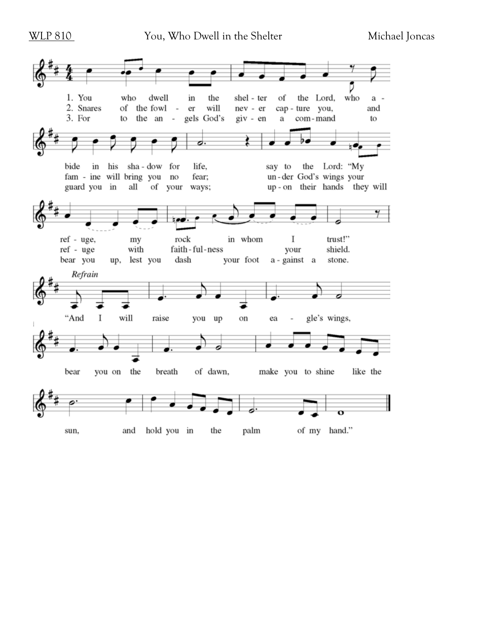WLP 810 **WLP 810** *You, Who Dwell in the Shelter* Michael Joncas

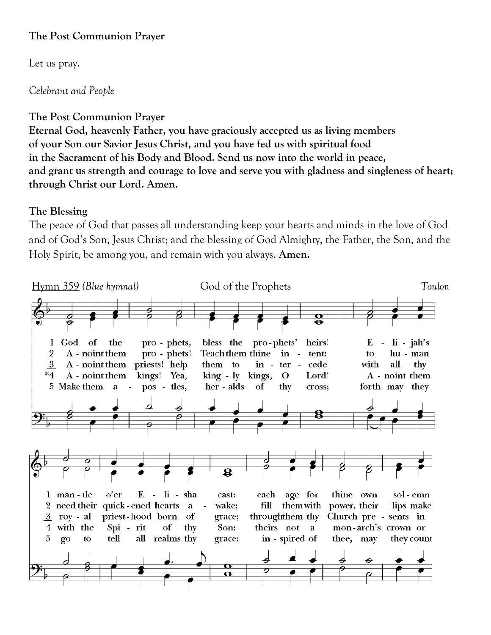# **The Post Communion Prayer**

Let us pray.

### *Celebrant and People*

## **The Post Communion Prayer**

**Eternal God, heavenly Father, you have graciously accepted us as living members of your Son our Savior Jesus Christ, and you have fed us with spiritual food in the Sacrament of his Body and Blood. Send us now into the world in peace, and grant us strength and courage to love and serve you with gladness and singleness of heart; through Christ our Lord. Amen.**

### **The Blessing**

The peace of God that passes all understanding keep your hearts and minds in the love of God and of God's Son, Jesus Christ; and the blessing of God Almighty, the Father, the Son, and the Holy Spirit, be among you, and remain with you always. **Amen.**